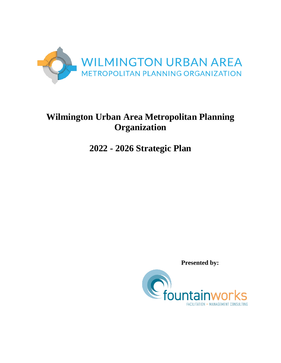

# **Wilmington Urban Area Metropolitan Planning Organization**

# **2022 - 2026 Strategic Plan**

 **Presented by:**

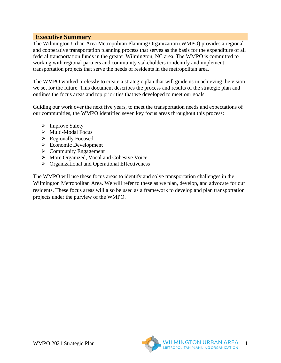#### **Executive Summary**

The Wilmington Urban Area Metropolitan Planning Organization (WMPO) provides a regional and cooperative transportation planning process that serves as the basis for the expenditure of all federal transportation funds in the greater Wilmington, NC area. The WMPO is committed to working with regional partners and community stakeholders to identify and implement transportation projects that serve the needs of residents in the metropolitan area.

The WMPO worked tirelessly to create a strategic plan that will guide us in achieving the vision we set for the future. This document describes the process and results of the strategic plan and outlines the focus areas and top priorities that we developed to meet our goals.

Guiding our work over the next five years, to meet the transportation needs and expectations of our communities, the WMPO identified seven key focus areas throughout this process:

- $\triangleright$  Improve Safety
- $\triangleright$  Multi-Modal Focus
- $\triangleright$  Regionally Focused
- Economic Development
- $\triangleright$  Community Engagement
- $\triangleright$  More Organized, Vocal and Cohesive Voice
- $\triangleright$  Organizational and Operational Effectiveness

The WMPO will use these focus areas to identify and solve transportation challenges in the Wilmington Metropolitan Area. We will refer to these as we plan, develop, and advocate for our residents. These focus areas will also be used as a framework to develop and plan transportation projects under the purview of the WMPO.

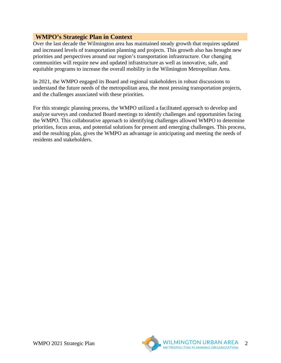## **WMPO's Strategic Plan in Context**

Over the last decade the Wilmington area has maintained steady growth that requires updated and increased levels of transportation planning and projects. This growth also has brought new priorities and perspectives around our region's transportation infrastructure. Our changing communities will require new and updated infrastructure as well as innovative, safe, and equitable programs to increase the overall mobility in the Wilmington Metropolitan Area.

In 2021, the WMPO engaged its Board and regional stakeholders in robust discussions to understand the future needs of the metropolitan area, the most pressing transportation projects, and the challenges associated with these priorities.

For this strategic planning process, the WMPO utilized a facilitated approach to develop and analyze surveys and conducted Board meetings to identify challenges and opportunities facing the WMPO. This collaborative approach to identifying challenges allowed WMPO to determine priorities, focus areas, and potential solutions for present and emerging challenges. This process, and the resulting plan, gives the WMPO an advantage in anticipating and meeting the needs of residents and stakeholders.

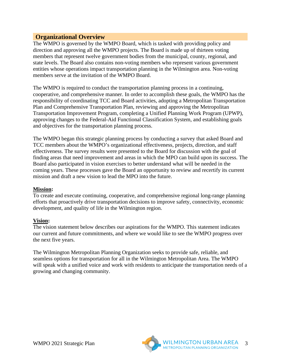#### **Organizational Overview**

The WMPO is governed by the WMPO Board, which is tasked with providing policy and direction and approving all the WMPO projects. The Board is made up of thirteen voting members that represent twelve government bodies from the municipal, county, regional, and state levels. The Board also contains non-voting members who represent various government entities whose operations impact transportation planning in the Wilmington area. Non-voting members serve at the invitation of the WMPO Board.

The WMPO is required to conduct the transportation planning process in a continuing, cooperative, and comprehensive manner. In order to accomplish these goals, the WMPO has the responsibility of coordinating TCC and Board activities, adopting a Metropolitan Transportation Plan and Comprehensive Transportation Plan, reviewing and approving the Metropolitan Transportation Improvement Program, completing a Unified Planning Work Program (UPWP), approving changes to the Federal-Aid Functional Classification System, and establishing goals and objectives for the transportation planning process.

The WMPO began this strategic planning process by conducting a survey that asked Board and TCC members about the WMPO's organizational effectiveness, projects, direction, and staff effectiveness. The survey results were presented to the Board for discussion with the goal of finding areas that need improvement and areas in which the MPO can build upon its success. The Board also participated in vision exercises to better understand what will be needed in the coming years. These processes gave the Board an opportunity to review and recertify its current mission and draft a new vision to lead the MPO into the future.

#### **Mission:**

To create and execute continuing, cooperative, and comprehensive regional long-range planning efforts that proactively drive transportation decisions to improve safety, connectivity, economic development, and quality of life in the Wilmington region.

#### **Vision:**

The vision statement below describes our aspirations for the WMPO. This statement indicates our current and future commitments, and where we would like to see the WMPO progress over the next five years.

The Wilmington Metropolitan Planning Organization seeks to provide safe, reliable, and seamless options for transportation for all in the Wilmington Metropolitan Area. The WMPO will speak with a unified voice and work with residents to anticipate the transportation needs of a growing and changing community.

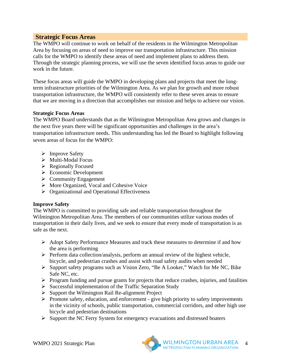#### **Strategic Focus Areas**

The WMPO will continue to work on behalf of the residents in the Wilmington Metropolitan Area by focusing on areas of need to improve our transportation infrastructure. This mission calls for the WMPO to identify these areas of need and implement plans to address them. Through the strategic planning process, we will use the seven identified focus areas to guide our work in the future.

These focus areas will guide the WMPO in developing plans and projects that meet the longterm infrastructure priorities of the Wilmington Area. As we plan for growth and more robust transportation infrastructure, the WMPO will consistently refer to these seven areas to ensure that we are moving in a direction that accomplishes our mission and helps to achieve our vision.

#### **Strategic Focus Areas**

The WMPO Board understands that as the Wilmington Metropolitan Area grows and changes in the next five years there will be significant opportunities and challenges in the area's transportation infrastructure needs. This understanding has led the Board to highlight following seven areas of focus for the WMPO:

- $\triangleright$  Improve Safety
- $\triangleright$  Multi-Modal Focus
- $\triangleright$  Regionally Focused
- Economic Development
- $\triangleright$  Community Engagement
- More Organized, Vocal and Cohesive Voice
- $\triangleright$  Organizational and Operational Effectiveness

#### **Improve Safety**

The WMPO is committed to providing safe and reliable transportation throughout the Wilmington Metropolitan Area. The members of our communities utilize various modes of transportation in their daily lives, and we seek to ensure that every mode of transportation is as safe as the next.

- Adopt Safety Performance Measures and track these measures to determine if and how the area is performing
- $\triangleright$  Perform data collection/analysis, perform an annual review of the highest vehicle, bicycle, and pedestrian crashes and assist with road safety audits when needed
- Support safety programs such as Vision Zero, "Be A Looker," Watch for Me NC, Bike Safe NC, etc.
- $\triangleright$  Program funding and pursue grants for projects that reduce crashes, injuries, and fatalities
- $\triangleright$  Successful implementation of the Traffic Separation Study
- $\triangleright$  Support the Wilmington Rail Re-alignment Project
- $\triangleright$  Promote safety, education, and enforcement give high priority to safety improvements in the vicinity of schools, public transportation, commercial corridors, and other high use bicycle and pedestrian destinations
- $\triangleright$  Support the NC Ferry System for emergency evacuations and distressed boaters



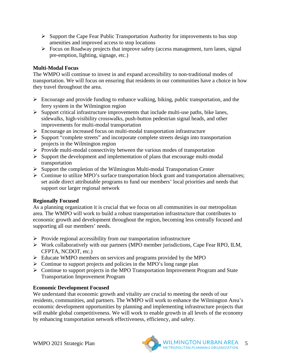- $\triangleright$  Support the Cape Fear Public Transportation Authority for improvements to bus stop amenities and improved access to stop locations
- $\triangleright$  Focus on Roadway projects that improve safety (access management, turn lanes, signal pre-emption, lighting, signage, etc.)

#### **Multi-Modal Focus**

The WMPO will continue to invest in and expand accessibility to non-traditional modes of transportation. We will focus on ensuring that residents in our communities have a choice in how they travel throughout the area.

- $\triangleright$  Encourage and provide funding to enhance walking, biking, public transportation, and the ferry system in the Wilmington region
- $\triangleright$  Support critical infrastructure improvements that include multi-use paths, bike lanes, sidewalks, high-visibility crosswalks, push-button pedestrian signal heads, and other improvements for multi-modal transportation
- Encourage an increased focus on multi-modal transportation infrastructure
- $\triangleright$  Support "complete streets" and incorporate complete streets design into transportation projects in the Wilmington region
- $\triangleright$  Provide multi-modal connectivity between the various modes of transportation
- $\triangleright$  Support the development and implementation of plans that encourage multi-modal transportation
- $\triangleright$  Support the completion of the Wilmington Multi-modal Transportation Center
- $\triangleright$  Continue to utilize MPO's surface transportation block grant and transportation alternatives; set aside direct attributable programs to fund our members' local priorities and needs that support our larger regional network

## **Regionally Focused**

As a planning organization it is crucial that we focus on all communities in our metropolitan area. The WMPO will work to build a robust transportation infrastructure that contributes to economic growth and development throughout the region, becoming less centrally focused and supporting all our members' needs.

- $\triangleright$  Provide regional accessibility from our transportation infrastructure
- Work collaboratively with our partners (MPO member jurisdictions, Cape Fear RPO, ILM, CFPTA, NCDOT, etc.)
- Educate WMPO members on services and programs provided by the MPO
- $\triangleright$  Continue to support projects and policies in the MPO's long range plan
- $\triangleright$  Continue to support projects in the MPO Transportation Improvement Program and State Transportation Improvement Program

## **Economic Development Focused**

We understand that economic growth and vitality are crucial to meeting the needs of our residents, communities, and partners. The WMPO will work to enhance the Wilmington Area's economic development opportunities by planning and implementing infrastructure projects that will enable global competitiveness. We will work to enable growth in all levels of the economy by enhancing transportation network effectiveness, efficiency, and safety.

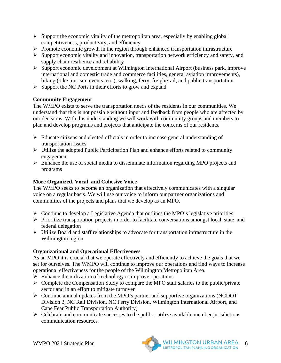- $\triangleright$  Support the economic vitality of the metropolitan area, especially by enabling global competitiveness, productivity, and efficiency
- $\triangleright$  Promote economic growth in the region through enhanced transportation infrastructure
- $\triangleright$  Support economic vitality and innovation, transportation network efficiency and safety, and supply chain resilience and reliability
- Support economic development at Wilmington International Airport (business park, improve international and domestic trade and commerce facilities, general aviation improvements), biking (bike tourism, events, etc.), walking, ferry, freight/rail, and public transportation
- $\triangleright$  Support the NC Ports in their efforts to grow and expand

## **Community Engagement**

The WMPO exists to serve the transportation needs of the residents in our communities. We understand that this is not possible without input and feedback from people who are affected by our decisions. With this understanding we will work with community groups and members to plan and develop programs and projects that anticipate the concerns of our residents.

- $\triangleright$  Educate citizens and elected officials in order to increase general understanding of transportation issues
- $\triangleright$  Utilize the adopted Public Participation Plan and enhance efforts related to community engagement
- Enhance the use of social media to disseminate information regarding MPO projects and programs

## **More Organized, Vocal, and Cohesive Voice**

The WMPO seeks to become an organization that effectively communicates with a singular voice on a regular basis. We will use our voice to inform our partner organizations and communities of the projects and plans that we develop as an MPO.

- $\triangleright$  Continue to develop a Legislative Agenda that outlines the MPO's legislative priorities
- $\triangleright$  Prioritize transportation projects in order to facilitate conversations amongst local, state, and federal delegation
- Utilize Board and staff relationships to advocate for transportation infrastructure in the Wilmington region

## **Organizational and Operational Effectiveness**

As an MPO it is crucial that we operate effectively and efficiently to achieve the goals that we set for ourselves. The WMPO will continue to improve our operations and find ways to increase operational effectiveness for the people of the Wilmington Metropolitan Area.

- $\triangleright$  Enhance the utilization of technology to improve operations
- $\triangleright$  Complete the Compensation Study to compare the MPO staff salaries to the public/private sector and in an effort to mitigate turnover
- Continue annual updates from the MPO's partner and supportive organizations (NCDOT Division 3, NC Rail Division, NC Ferry Division, Wilmington International Airport, and Cape Fear Public Transportation Authority)
- $\triangleright$  Celebrate and communicate successes to the public-utilize available member jurisdictions communication resources

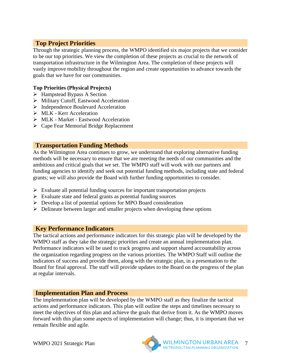# **Top Project Priorities**

Through the strategic planning process, the WMPO identified six major projects that we consider to be our top priorities. We view the completion of these projects as crucial to the network of transportation infrastructure in the Wilmington Area. The completion of these projects will vastly improve mobility throughout the region and create opportunities to advance towards the goals that we have for our communities.

#### **Top Priorities (Physical Projects)**

- $\triangleright$  Hampstead Bypass A Section
- Military Cutoff, Eastwood Acceleration
- $\triangleright$  Independence Boulevard Acceleration
- $\triangleright$  MLK Kerr Acceleration
- MLK Market Eastwood Acceleration
- Cape Fear Memorial Bridge Replacement

### **Transportation Funding Methods**

As the Wilmington Area continues to grow, we understand that exploring alternative funding methods will be necessary to ensure that we are meeting the needs of our communities and the ambitious and critical goals that we set. The WMPO staff will work with our partners and funding agencies to identify and seek out potential funding methods, including state and federal grants; we will also provide the Board with further funding opportunities to consider.

- $\triangleright$  Evaluate all potential funding sources for important transportation projects
- $\triangleright$  Evaluate state and federal grants as potential funding sources
- $\triangleright$  Develop a list of potential options for MPO Board consideration
- $\triangleright$  Delineate between larger and smaller projects when developing these options

## **Key Performance Indicators**

The tactical actions and performance indicators for this strategic plan will be developed by the WMPO staff as they take the strategic priorities and create an annual implementation plan. Performance indicators will be used to track progress and support shared accountability across the organization regarding progress on the various priorities. The WMPO Staff will outline the indicators of success and provide them, along with the strategic plan, in a presentation to the Board for final approval. The staff will provide updates to the Board on the progress of the plan at regular intervals.

## **Implementation Plan and Process**

The implementation plan will be developed by the WMPO staff as they finalize the tactical actions and performance indicators. This plan will outline the steps and timelines necessary to meet the objectives of this plan and achieve the goals that derive from it. As the WMPO moves forward with this plan some aspects of implementation will change; thus, it is important that we remain flexible and agile.